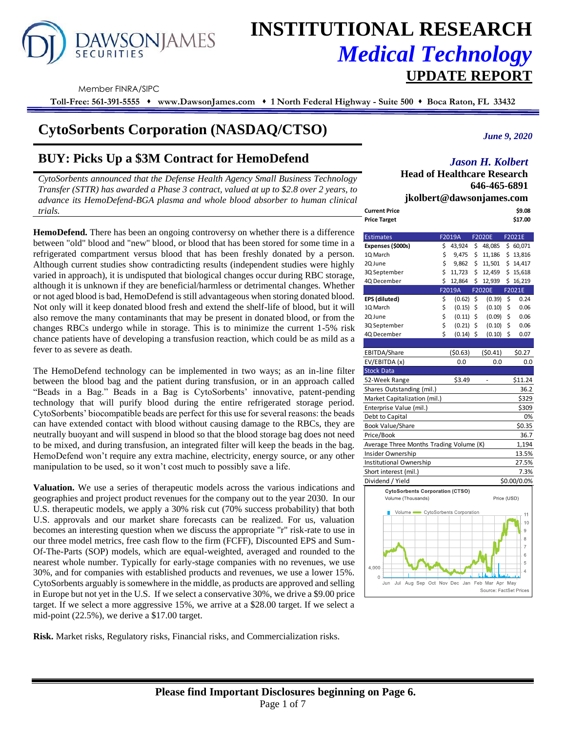# **AWSONJAMES**

## **INSTITUTIONAL RESEARCH** *Medical Technology*  **UPDATE REPORT**

Member FINRA/SIPC

**Toll-Free: 561-391-5555** ⬧ **www.DawsonJames.com** ⬧ **1 North Federal Highway - Suite 500** ⬧ **Boca Raton, FL 33432**

## **CytoSorbents Corporation (NASDAQ/CTSO)**

## **BUY: Picks Up a \$3M Contract for HemoDefend**

*CytoSorbents announced that the Defense Health Agency Small Business Technology Transfer (STTR) has awarded a Phase 3 contract, valued at up to \$2.8 over 2 years, to advance its HemoDefend-BGA plasma and whole blood absorber to human clinical trials.* 

**HemoDefend.** There has been an ongoing controversy on whether there is a difference between "old" blood and "new" blood, or blood that has been stored for some time in a refrigerated compartment versus blood that has been freshly donated by a person. Although current studies show contradicting results (independent studies were highly varied in approach), it is undisputed that biological changes occur during RBC storage, although it is unknown if they are beneficial/harmless or detrimental changes. Whether or not aged blood is bad, HemoDefend is still advantageous when storing donated blood. Not only will it keep donated blood fresh and extend the shelf-life of blood, but it will also remove the many contaminants that may be present in donated blood, or from the changes RBCs undergo while in storage. This is to minimize the current 1-5% risk chance patients have of developing a transfusion reaction, which could be as mild as a fever to as severe as death.

The HemoDefend technology can be implemented in two ways; as an in-line filter between the blood bag and the patient during transfusion, or in an approach called "Beads in a Bag." Beads in a Bag is CytoSorbents' innovative, patent-pending technology that will purify blood during the entire refrigerated storage period. CytoSorbents' biocompatible beads are perfect for this use for several reasons: the beads can have extended contact with blood without causing damage to the RBCs, they are neutrally buoyant and will suspend in blood so that the blood storage bag does not need to be mixed, and during transfusion, an integrated filter will keep the beads in the bag. HemoDefend won't require any extra machine, electricity, energy source, or any other manipulation to be used, so it won't cost much to possibly save a life.

**Valuation.** We use a series of therapeutic models across the various indications and geographies and project product revenues for the company out to the year 2030. In our U.S. therapeutic models, we apply a 30% risk cut (70% success probability) that both U.S. approvals and our market share forecasts can be realized. For us, valuation becomes an interesting question when we discuss the appropriate "r" risk-rate to use in our three model metrics, free cash flow to the firm (FCFF), Discounted EPS and Sum-Of-The-Parts (SOP) models, which are equal-weighted, averaged and rounded to the nearest whole number. Typically for early-stage companies with no revenues, we use 30%, and for companies with established products and revenues, we use a lower 15%. CytoSorbents arguably is somewhere in the middle, as products are approved and selling in Europe but not yet in the U.S. If we select a conservative 30%, we drive a \$9.00 price target. If we select a more aggressive 15%, we arrive at a \$28.00 target. If we select a mid-point (22.5%), we derive a \$17.00 target.

**Risk.** Market risks, Regulatory risks, Financial risks, and Commercialization risks.

*June 9, 2020*

#### *Jason H. Kolbert*

**Head of Healthcare Research 646-465-6891 jkolbert@dawsonjames.com**

| <b>Current Price</b> | \$9.08  |
|----------------------|---------|
| <b>Price Target</b>  | \$17.00 |

| <b>Estimates</b>                                                 |        | F2019A      |    | F2020E        | F2021E                 |
|------------------------------------------------------------------|--------|-------------|----|---------------|------------------------|
| Expenses (\$000s)                                                | 48,085 | \$60,071    |    |               |                        |
| 1Q March                                                         | \$     | 9,475       | \$ | 11,186        | \$13,816               |
| 2Q June                                                          | \$     | 9,862       | \$ | 11,501        | \$14,417               |
| 3Q September                                                     | \$     | 11,723      | \$ | 12,459        | \$15,618               |
| 4Q December                                                      | \$     | 12,864      | \$ | 12,939        | \$16,219               |
|                                                                  |        | F2019A      |    | <b>F2020E</b> | F2021E                 |
| EPS (diluted)                                                    | \$     | (0.62)      | \$ | (0.39)        | \$<br>0.24             |
| 1Q March                                                         | \$     | (0.15)      | \$ | (0.10)        | \$<br>0.06             |
| 2Q June                                                          | \$     | (0.11)      | \$ | (0.09)        | \$<br>0.06             |
| 3Q September                                                     | \$     | (0.21)      | \$ | (0.10)        | \$<br>0.06             |
| 4Q December                                                      | Ś      | $(0.14)$ \$ |    | (0.10)        | \$<br>0.07             |
|                                                                  |        |             |    |               |                        |
| EBITDA/Share                                                     |        | (50.63)     |    | (50.41)       | \$0.27                 |
| EV/EBITDA (x)                                                    |        | 0.0         |    | 0.0           | 0.0                    |
| <b>Stock Data</b>                                                |        |             |    |               |                        |
| 52-Week Range                                                    |        | \$3.49      |    |               | \$11.24                |
| Shares Outstanding (mil.)                                        |        |             |    |               | 36.2                   |
| Market Capitalization (mil.)                                     |        |             |    |               | \$329                  |
| Enterprise Value (mil.)                                          |        |             |    |               | \$309                  |
| Debt to Capital                                                  |        |             |    |               | 0%                     |
| <b>Book Value/Share</b>                                          |        |             |    |               | \$0.35                 |
| Price/Book                                                       |        |             |    |               | 36.7                   |
| Average Three Months Trading Volume (K)                          |        |             |    |               | 1,194                  |
| Insider Ownership                                                |        |             |    |               | 13.5%                  |
| Institutional Ownership                                          |        |             |    |               | 27.5%                  |
| Short interest (mil.)                                            |        |             |    |               | 7.3%                   |
| Dividend / Yield                                                 |        |             |    |               | \$0.00/0.0%            |
| <b>CytoSorbents Corporation (CTSO)</b>                           |        |             |    |               |                        |
| Volume (Thousands)                                               |        |             |    |               | Price (USD)            |
| Volume CytoSorbents Corporation                                  |        |             |    |               |                        |
|                                                                  |        |             |    |               | 11<br>10               |
|                                                                  |        |             |    |               | 9                      |
|                                                                  |        |             |    |               | 8                      |
|                                                                  |        |             |    |               | 7                      |
|                                                                  |        |             |    |               | 6                      |
|                                                                  |        |             |    |               | 5                      |
| 4,000                                                            |        |             |    |               | 4                      |
| $\circ$<br>Aug Sep Oct Nov Dec Jan Feb Mar Apr May<br>Jul<br>Jun |        |             |    |               |                        |
|                                                                  |        |             |    |               | Source: FactSet Prices |

### **Please find Important Disclosures beginning on Page 6.** Page 1 of 7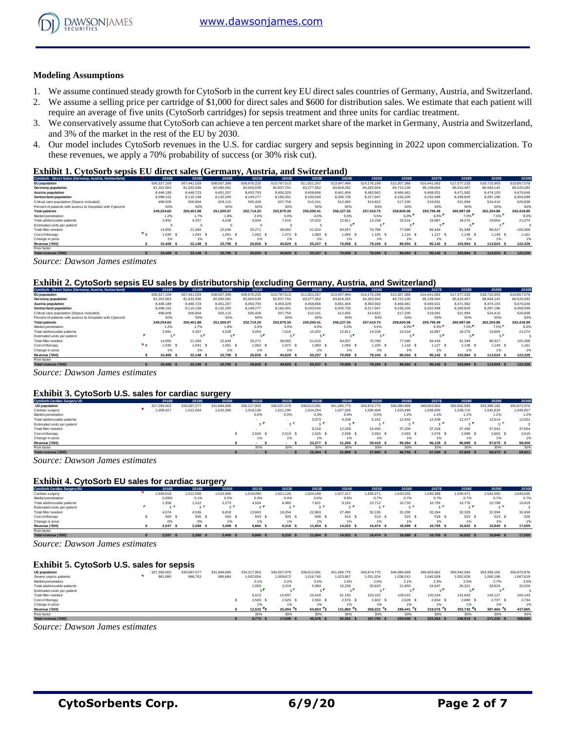

#### **Modeling Assumptions**

- 1. We assume continued steady growth for CytoSorb in the current key EU direct sales countries of Germany, Austria, and Switzerland.
- 2. We assume a selling price per cartridge of \$1,000 for direct sales and \$600 for distribution sales. We estimate that each patient will require an average of five units (CytoSorb cartridges) for sepsis treatment and three units for cardiac treatment.
- 3. We conservatively assume that CytoSorb can achieve a ten percent market share of the market in Germany, Austria and Switzerland, and 3% of the market in the rest of the EU by 2030.
- 4. Our model includes CytoSorb revenues in the U.S. for cardiac surgery and sepsis beginning in 2022 upon commercialization. To these revenues, we apply a 70% probability of success (or 30% risk cut).

#### **Exhibit 1. CytoSorb sepsis EU direct sales (Germany, Austria, and Switzerland)**

| CytoSorb - Direct Sales (Germany, Austria, Switzerland)    | 2018E       | 2019E       | 2020E          | 2021E       | 2022E       | 2023E       | 2024E       | 2025E       | 2026E       | 2027E       | 2028E       | 2029E       | 2030E       |
|------------------------------------------------------------|-------------|-------------|----------------|-------------|-------------|-------------|-------------|-------------|-------------|-------------|-------------|-------------|-------------|
| EU population                                              | 506,327,109 | 507.441.029 | 508,557,399    | 509.676.225 | 510.797.513 | 511.921.267 | 513.047.494 | 514.176.199 | 515,307,386 | 516.441.062 | 517.577.233 | 518,715,903 | 519,857,078 |
| Germany population                                         | 81.202.563  | 81.632.936  | 82.065.591     | 82,500,539  | 82.937.791  | 83,377,362  | 83.819.262  | 84.263.504  | 84.710.100  | 85.159.064  | 85.610.407  | 86.064.142  | 86.520.282  |
| Austria population                                         | 8,446.189   | 8.448.723   | 8.451.257      | 8.453.793   | 8.456.329   | 8.458.866   | 8.461.404   | 8.463.942   | 8,466,481   | 8.469.021   | 8.471.562   | 8.474.103   | 8.476.646   |
| Switzerland population                                     | 8.098.152   | 8,115,158   | 8.132.200      | 8.149.277   | 8.166.391   | 8,183,540   | 8,200,726   | 8.217.947   | 8.235.205   | 8.252.499   | 8,269,829   | 8.287.196   | 8.304.599   |
| Critical care population (Sepsis included)                 | 498,509     | 500,804     | 503.110        | 505.428     | 507.759     | 510,101     | 512.455     | 514.822     | 517,200     | 519,591     | 521,994     | 524,410     | 526,838     |
| Percent of patients with access to hospitals with Cytosorb | 50%         | 50%         | 50%            | 50%         | 50%         | 50%         | 50%         | 50%         | 50%         | 50%         | 50%         | 50%         | 50%         |
| <b>Total patients</b>                                      | 249.254.60  | 250.401.88  | 251.555.07     | 252.714.20  | 253,879.30  | 255.050.41  | 256,227.55  | 257.410.75  | 258,600,06  | 259.795.49  | 260.997.08  | 262.204.88  | 263,418.89  |
| Market penetration                                         | 1.2%        | 1.7%        | 1.8%           | 2.0%        | 3.0%        | 4.0%        | 5.0%        | 5.5%        | 6.0%        | 6.5%        | 7.0%        | 7.5%        | 8.0%        |
| Total addressable patients                                 | 2.991       | 4.257       | 4.528          | 5.054       | 7.616       | 10.202      | 12.811      | 14.158      | 15.516      | 16,887      | 18.270      | 19.665      | 21.074      |
| Estimated units per patient                                |             |             |                |             |             |             |             |             |             |             |             |             |             |
| Total filter needed                                        | 14.955      | 21.284      | 22.640         | 25.271      | 38.082      | 51.010      | 64.057      | 70.788      | 77,580      | 84.434      | 91.349      | 98.327      | 105,368     |
| Cost of therapy                                            | 1.030       | 1.041 S     | 1.051<br>- \$  | 1.062 S     | 1.072 S     | $1.083$ \$  | 1.094       | $1,105$ S   | $1.116$ \$  | 1.127 S     | $1.138$ S   | 1.149 S     | 1.161       |
| Change in price                                            | 1%          | 1%          | 1%             | 1%          | 1%          | 1%          | 1%          |             | 1%          | 1%          | 1%          | 1%          | 1%          |
| Revenue ('000)                                             | 15,408      | 22.148 S    | 23.795<br>- \$ | 26.826 S    | 40.829      | 55.237      | 70.058<br>- | 78.194 S    | 86,554      | 95.142 \$   | 103.964 S   | 113.024 \$  | 122,328     |
| Risk factor                                                |             |             |                |             |             |             |             |             |             |             |             |             |             |
| Total revenue ('000)                                       | 15,408 \$   | 22.148 \$   | 23.795 \$      | 26.826 S    | 40.829      | 55.237      | 70.058 \$   | 78.194 S    | 86.554 \$   | 95.142 \$   | 103.964 S   | 113,024 \$  | 122.328     |

*Source: Dawson James estimates*

#### **Exhibit 2. CytoSorb sepsis EU sales by distributorship (excluding Germany, Austria, and Switzerland)**

| CytoSorb - Direct Sales (Germany, Austria, Switzerland)    | 2018E         | 2019E       | 2020E         | 2021E       | 2022E       | 2023E       | 2024E       | 2025E       | 2026E       | 2027E       | 2028E       | 2029E       | 2030E       |
|------------------------------------------------------------|---------------|-------------|---------------|-------------|-------------|-------------|-------------|-------------|-------------|-------------|-------------|-------------|-------------|
| <b>EU</b> population                                       | 506.327.109   | 507.441.029 | 508,557,399   | 509.676.225 | 510.797.513 | 511.921.267 | 513.047.494 | 514.176.199 | 515.307.386 | 516.441.062 | 517.577.233 | 518,715,903 | 519,857,078 |
| Germany population                                         | 81.202.563    | 81.632.936  | 82.065.591    | 82,500,539  | 82.937.791  | 83.377.362  | 83,819,262  | 84.263.504  | 84,710,100  | 85,159,064  | 85.610.407  | 86.064.142  | 86,520,282  |
| Austria population                                         | 8.446.189     | 8,448.723   | 8.451.257     | 8.453.793   | 8,456,329   | 8,458,866   | 8,461,404   | 8.463.942   | 8.466.481   | 8,469,021   | 8.471.562   | 8.474.103   | 8,476,646   |
| <b>Switzerland population</b>                              | 8.098.152     | 8.115.158   | 8.132.200     | 8.149.277   | 8.166.391   | 8.183.540   | 8,200,726   | 8.217.947   | 8.235.205   | 8.252.499   | 8.269.829   | 8.287.196   | 8.304.599   |
| Critical care population (Sepsis included)                 | 498,509       | 500,804     | 503.110       | 505.428     | 507,759     | 510,101     | 512.455     | 514.822     | 517.200     | 519.591     | 521.994     | 524.410     | 526.838     |
| Percent of patients with access to hospitals with Cytosorb | 50%           | 50%         | 50%           | 50%         | 50%         | 50%         | 50%         | 50%         | 50%         | 50%         | 50%         | 50%         | 50%         |
| <b>Total patients</b>                                      | 249.254.60    | 250,401.88  | 251.555.07    | 252.714.20  | 253.879.30  | 255.050.41  | 256.227.55  | 257,410.75  | 258,600,06  | 259.795.49  | 260.997.08  | 262.204.88  | 263,418.89  |
| Market penetration                                         | 1.2%          | 1.7%        | 1.8%          | 2.0%        | 3.0%        | 4.0%        | 5.0%        | 5.5%        | 6.0%        | 6.5%        | 7.0%        | 7.5%        | 8.0%        |
| Total addressable patients                                 | 2.991         | 4.257       | 4.528         | 5.054       | 7.616       | 10.202      | 12.811      | 14.158      | 15,516      | 16.887      | 18.270      | 19,665      | 21.074      |
| Estimated units per patient                                |               |             |               |             | яf,         |             |             |             |             | 5.          |             |             |             |
| Total filter needed                                        | 14.955        | 21.284      | 22.640        | 25.271      | 38,082      | 51,010      | 64.057      | 70.788      | 77,580      | 84.434      | 91.349      | 98.327      | 105,368     |
| Cost of therapy                                            | 1.030         | 1.041       | 1.051         | 1.062 S     | 1.072 \$    | 1.083       | 1.094 S     | 1.105 S     | $1.116$ S   | $1,127$ \$  | 1.138 S     | 1.149 S     | 1.161       |
| Change in price                                            | 1%            | 1%          | 1%            | 1%          |             | 1%          |             | 1%          | 1%          | 1%          | 1%          | 1%          | 1%          |
| Revenue ('000)                                             | 15,408<br>- 5 | 22.148 \$   | 23.795<br>- 5 | 26.826 S    | 40.829      | 55.237      | 70.058 \$   | 78.194 S    | 86,554      | 95.142 \$   | 103.964 S   | 113.024 \$  | 122,328     |
| Risk factor                                                |               |             |               |             |             |             |             |             |             |             |             |             |             |
| Total revenue ('000)                                       | 15,408        | 22.148 \$   | 23.795 \$     | 26,826      | 40.829      | 55,237      | 70.058 \$   | 78.194 S    | 86.554 \$   | 95.142 \$   | 103,964 S   | 113.024 \$  | 122.328     |

*Source: Dawson James estimates*

#### **Exhibit 3. CytoSorb U.S. sales for cardiac surgery**

| Exhibit 3. CytoSorb U.S. sales for cardiac surgery |  |             |             |             |             |             |             |             |             |                |             |             |             |             |
|----------------------------------------------------|--|-------------|-------------|-------------|-------------|-------------|-------------|-------------|-------------|----------------|-------------|-------------|-------------|-------------|
| <b>CytoSorb Cardiac Surgery US</b>                 |  | 2018E       | 2019E       | 2020E       | 2021E       | 2022E       | 2023E       | 2024E       | 2025E       | 2026E          | 2027E       | 2028E       | 2029E       | 2030E       |
| <b>US population</b>                               |  | 327.296.502 | 329,587,577 | 331.894.690 | 334.217.953 | 336,557,479 | 338.913.381 | 341,285,775 | 343.674.775 | 346,080,499    | 348.503.062 | 350.942.583 | 353.399.182 | 355,872,976 |
| Cardiac surgery                                    |  | ,009,027    | 1,012,054   | 1.015.090   | 1.018.136   | 1.021.190   | 1.024.254   | 1.027.326   | 1.030.408   | 1.033.499      | 1,036,600   | 1,039,710   | 1.042.829   | 1.045.957   |
| Market penetration                                 |  |             |             |             | 0.0%        | 0.0%        | 0.3%        | 0.4%        | 0.5%        | 1.2%           | 1.2%        | 1.2%        | 1.2%        | 1.2%        |
| Total addressable patients                         |  |             |             |             |             |             | 3.073       | 4.109       | 5.152       | 12,402         | 12.439      | 12.477      | 12.514      | 12.551      |
| Estimated units per patient                        |  |             |             |             |             | $3^{\circ}$ |             | $\sim$      |             |                | $\sim$      |             | $\sim$      |             |
| Total filter needed                                |  |             |             |             |             |             | 9.218       | 12.328      | 15,456      | 37,206         | 37,318      | 37,430      | 37.542      | 37.654      |
| Cost of therapy                                    |  |             |             |             | 2.500 S     | 2.513 S     | 2.525       | 2.538 S     | 2.550 S     | 2.563 S        | 2.576 S     | 2.589 S     | 2.602 S     | 2.615       |
| Change in price                                    |  |             |             |             | 1%          | 1%          | 1%          | 1%          | 1%          | 1%             | 1%          | 1%          | 1%          | 1%          |
| Revenue ('000)                                     |  |             |             |             |             |             | 23,277      | 31.284 \$   | 39.419 S    | 95.364<br>- \$ | 96.128 \$   | 96.899 \$   | 97.675 \$   | 98,458      |
| Risk factor                                        |  |             |             |             | 30%         | 30%         | 30%         | 30%         | 30%         | 30%            | 30%         | 30%         | 30%         | 30%         |
| Total revenue ('000)                               |  |             |             |             |             |             | 16,294 \$   | 21,899 \$   | 27,593 \$   | 66,755 \$      | 67,290 \$   | 67,829 \$   | 68,373 \$   | 68,921      |

*Source: Dawson James estimates*

#### **Exhibit 4. CytoSorb EU sales for cardiac surgery**

| <b>Exhibit 4. CytoSorb EU sales for cardiac surgery</b> |  |                   |                   |                    |           |           |                    |           |           |           |                       |           |                |           |
|---------------------------------------------------------|--|-------------------|-------------------|--------------------|-----------|-----------|--------------------|-----------|-----------|-----------|-----------------------|-----------|----------------|-----------|
| <b>CytoSorb Cardiac Surgery EU</b>                      |  | 2018E             | 2019E             | 2020E              | 2021E     | 2022E     | 2023E              | 2024E     | 2025E     | 2026E     | 2027E                 | 2028E     | 2029E          | 2030E     |
| Cardiac surgery                                         |  | .509.018          | 1.512.036         | 1.515.060          | 1.518.090 | 1.521.126 | .524.169           | 1.527.217 | .530.271  | 1,533,332 | .536.399              | 1.539.471 | 1.542.550      | 1.545.635 |
| Market penetration                                      |  | 0.09%             | 0.1%              | 0.2%               | 0.3%      | 0.4%      | 0.5%               | 0.6%      | 0.7%      | 0.7%      | 0.7%                  | 0.7%      | 0.7%           | 0.7%      |
| Total addressable patients                              |  | 1,358             | 1.512             | 2.273              | 4.554     | 6.085     | 7,621              | 9.163     | 10.712    | 10.733    | 10,755                | 10.776    | 10.798         | 10,819    |
| Estimated units per patient                             |  | $\sim$            |                   |                    |           | . .       | $\sim$             | $\sim$    |           | $\sim$    | $\sim$ $\blacksquare$ |           |                |           |
| Total filter needed                                     |  | 4.074             | 4.536             | 6,818              | 13,663    | 18.254    | 22,863             | 27,490    | 32.136    | 32,200    | 32,264                | 32.329    | 32.394         | 32,458    |
| Cost of therapy                                         |  | 500               | 500               | 500 \$             | 503       | 505 \$    | 508                | 510 S     | 513 S     | 515 \$    | 518 S                 | 520       | 523 \$         | 526       |
| Change in price                                         |  | 0%                | 0%                | 1%                 | 1%        | 1%        | 1%                 |           | 1%        | 1%        | 1%                    | 1%        | 1%             | 1%        |
| Revenue ('000)                                          |  | 2.037             | 2.268 S           | 3.409              | 6,866     | 9.218     | 11,604             | 14.022 \$ | 16.474 S  | 16,589 \$ | 16.705                | 16.822 S  | 16,940<br>- \$ | 17,059    |
| Risk factor                                             |  |                   |                   |                    |           |           |                    |           |           |           |                       |           |                |           |
| Total revenue ('000)                                    |  | $2037$ $\epsilon$ | 2268 <sup>2</sup> | $3.409$ $\epsilon$ | 8888      | 9.218     | $11604$ $\epsilon$ | 140225    | 16.474 \$ | 16589 \$  | 16.705 \$             | 16822 \$  | 16,940         | 17059     |

*Source: Dawson James estimates*

#### **Exhibit 5. CytoSorb U.S. sales for sepsis**

| <b>Exhibit 5. CytoSorb U.S. sales for sepsis</b> |  |             |             |             |             |             |             |             |             |             |             |             |             |             |
|--------------------------------------------------|--|-------------|-------------|-------------|-------------|-------------|-------------|-------------|-------------|-------------|-------------|-------------|-------------|-------------|
| <b>US population</b>                             |  | 327.296.502 | 329.587.577 | 331.894.690 | 334.217.953 | 336,557,479 | 338.913.381 | 341.285.775 | 343.674.775 | 346,080,499 | 348.503.062 | 350.942.583 | 353.399.182 | 355,872,976 |
| Severe sepsis patients                           |  | 981,890     | 988,763     | 995,684     | 1,002,654   | 1.009.672   | 1,016,740   | 1,023,857   | 1.031.024   | 1.038.241   | 1.045.509   | 1,052,828   | 1.060.198   | 1.067.619   |
| Market penetration                               |  |             |             |             | 0.1%        | 0.2%        | 0.5%        | 1.0%        | 2.0%        | 2.1%        | 2.3%        | 2.5%        | 2.7%        | 3.0%        |
| Total addressable patients                       |  |             |             |             | 1.003       | 2.019       | 5,084       | 10,239      | 20,620      | 21,803      | 24.047      | 26,321      | 28,625      | 32.029      |
| Estimated units per patient                      |  |             |             |             |             |             |             |             |             |             |             |             |             |             |
| Total filter needed                              |  |             |             |             | 5.013       | 10.097      | 25.419      | 51.193      | 103.102     | 109,015     | 120.234     | 131,603     | 143.127     | 160.143     |
| Cost of therapy                                  |  |             |             |             | 2.500 S     | 2.525       | 2.550       | $2.576$ \$  | 2.602 S     | 2.628 S     | 2.654 S     | 2.680 S     | 2.707 \$    | 2.734       |
| Change in price                                  |  |             |             |             | 1%          | 1%          | 1%          |             |             | 1%          | 1%          | 1%          | 1%          | 1%          |
| Revenue ('000)                                   |  |             |             |             | $12.533$ S  | 25.494 S    | 64.824 S    | 131.860     | 268.222 S   | 286,441 S   | 319,076 S   | 352.742 S   | 387.464 S   | 437.865     |
| Risk factor                                      |  |             |             |             | 30%         | 30%         | 30%         | 30%         | 30%         | 30%         | 30%         | 30%         | 30%         | 30%         |
| Total revenue ('000)                             |  |             |             |             | 8.773 S     | 17,846      | 45.376 \$   | 92.302      | 187,755 \$  | 200,508 \$  | 223.353     | 246.919 S   | 271.225 \$  | 306.505     |

*Source: Dawson James estimates*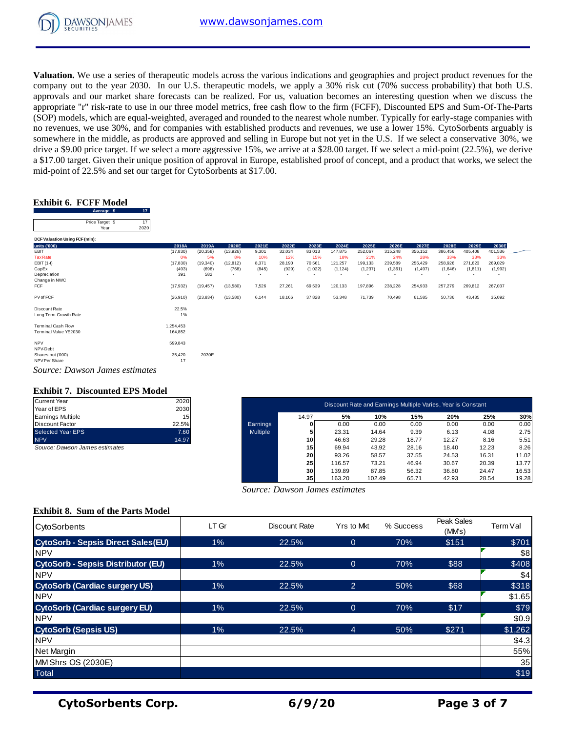

**Valuation.** We use a series of therapeutic models across the various indications and geographies and project product revenues for the company out to the year 2030. In our U.S. therapeutic models, we apply a 30% risk cut (70% success probability) that both U.S. approvals and our market share forecasts can be realized. For us, valuation becomes an interesting question when we discuss the appropriate "r" risk-rate to use in our three model metrics, free cash flow to the firm (FCFF), Discounted EPS and Sum-Of-The-Parts (SOP) models, which are equal-weighted, averaged and rounded to the nearest whole number. Typically for early-stage companies with no revenues, we use 30%, and for companies with established products and revenues, we use a lower 15%. CytoSorbents arguably is somewhere in the middle, as products are approved and selling in Europe but not yet in the U.S. If we select a conservative 30%, we drive a \$9.00 price target. If we select a more aggressive 15%, we arrive at a \$28.00 target. If we select a mid-point (22.5%), we derive a \$17.00 target. Given their unique position of approval in Europe, established proof of concept, and a product that works, we select the a 917.00 dage. Given then dingthe position of approval in Ediope,<br>mid-point of 22.5% and set our target for CytoSorbents at \$17.00.<br>**Exhibit 6. FCFF Model**<br>Price Target \$ 17<br>Price Target \$ 17

#### **Exhibit 6. FCFF Model**

| $\frac{1}{2}$ and $\frac{1}{2}$ and $\frac{1}{2}$ and $\frac{1}{2}$ are $\frac{1}{2}$ and $\frac{1}{2}$ and $\frac{1}{2}$ are $\frac{1}{2}$ and $\frac{1}{2}$ are $\frac{1}{2}$ and $\frac{1}{2}$ are $\frac{1}{2}$ and $\frac{1}{2}$ are $\frac{1}{2}$ and $\frac{1}{2}$ are $\frac{1}{2}$ a |                      |           |           |        |                          |         |                          |                          |          |          |         |                          |         |  |
|-----------------------------------------------------------------------------------------------------------------------------------------------------------------------------------------------------------------------------------------------------------------------------------------------|----------------------|-----------|-----------|--------|--------------------------|---------|--------------------------|--------------------------|----------|----------|---------|--------------------------|---------|--|
| <b>Exhibit 6. FCFF Model</b><br>17<br>Average \$                                                                                                                                                                                                                                              |                      |           |           |        |                          |         |                          |                          |          |          |         |                          |         |  |
| 17<br>Price Target \$<br>Year<br>2020                                                                                                                                                                                                                                                         |                      |           |           |        |                          |         |                          |                          |          |          |         |                          |         |  |
| DCF Valuation Using FCF (mln):                                                                                                                                                                                                                                                                |                      |           |           |        |                          |         |                          |                          |          |          |         |                          |         |  |
| units ('000)                                                                                                                                                                                                                                                                                  | 2018A                | 2019A     | 2020E     | 2021E  | 2022E                    | 2023E   | 2024E                    | 2025E                    | 2026E    | 2027E    | 2028E   | 2029E                    | 2030E   |  |
| EBIT                                                                                                                                                                                                                                                                                          | (17, 830)            | (20, 358) | (13,926)  | 9,301  | 32,034                   | 83,013  | 147,875                  | 252,067                  | 315,248  | 356,152  | 386,456 | 405,408                  | 401,536 |  |
| <b>Tax Rate</b>                                                                                                                                                                                                                                                                               | 0%                   | 5%        | 8%        | 10%    | 12%                      | 15%     | 18%                      | 21%                      | 24%      | 28%      | 33%     | 33%                      | 33%     |  |
| EBIT (1-t)                                                                                                                                                                                                                                                                                    | (17, 830)            | (19, 340) | (12, 812) | 8,371  | 28,190                   | 70,561  | 121,257                  | 199,133                  | 239,589  | 256,429  | 258,926 | 271,623                  | 269,029 |  |
| CapEx                                                                                                                                                                                                                                                                                         | (493)                | (698)     | (768)     | (845)  | (929)                    | (1,022) | (1, 124)                 | (1, 237)                 | (1, 361) | (1, 497) | (1,646) | (1, 811)                 | (1,992) |  |
| Depreciation                                                                                                                                                                                                                                                                                  | 391                  | 582       | $\sim$    | $\sim$ | $\overline{\phantom{a}}$ | $\sim$  | $\overline{\phantom{a}}$ | $\overline{\phantom{a}}$ | $\sim$   | $\sim$   | ٠       | $\overline{\phantom{a}}$ | ٠       |  |
| Change in NWC                                                                                                                                                                                                                                                                                 |                      |           |           |        |                          |         |                          |                          |          |          |         |                          |         |  |
| <b>FCF</b>                                                                                                                                                                                                                                                                                    | (17, 932)            | (19, 457) | (13,580)  | 7,526  | 27,261                   | 69,539  | 120,133                  | 197,896                  | 238,228  | 254,933  | 257,279 | 269,812                  | 267,037 |  |
| PV of FCF                                                                                                                                                                                                                                                                                     | (26, 910)            | (23, 834) | (13,580)  | 6,144  | 18,166                   | 37,828  | 53,348                   | 71,739                   | 70,498   | 61,585   | 50,736  | 43,435                   | 35,092  |  |
| Discount Rate<br>Long Term Growth Rate                                                                                                                                                                                                                                                        | 22.5%<br>1%          |           |           |        |                          |         |                          |                          |          |          |         |                          |         |  |
| <b>Terminal Cash Flow</b><br>Terminal Value YE2030                                                                                                                                                                                                                                            | 1,254,453<br>164,852 |           |           |        |                          |         |                          |                          |          |          |         |                          |         |  |
| <b>NPV</b><br>NPV-Debt                                                                                                                                                                                                                                                                        | 599,843              |           |           |        |                          |         |                          |                          |          |          |         |                          |         |  |
| Shares out ('000)<br>NPV Per Share                                                                                                                                                                                                                                                            | 35,420<br>17         | 2030E     |           |        |                          |         |                          |                          |          |          |         |                          |         |  |
| Source: Dawson James estimates                                                                                                                                                                                                                                                                |                      |           |           |        |                          |         |                          |                          |          |          |         |                          |         |  |

#### *Source: Dawson James estimates*

#### **Exhibit 7. Discounted EPS Model**

| <b>Current Year</b>               | 2020            |
|-----------------------------------|-----------------|
| Year of EPS                       | 2030            |
| <b>Earnings Multiple</b>          | 15 <sub>1</sub> |
| <b>Discount Factor</b>            | 22.5%           |
| <b>Selected Year EPS</b>          | 7.60            |
| <b>NPV</b>                        | 14.97           |
| 0-11-12-12-12-12-12-12-12-12-12-2 |                 |

| Current Year                   | 2020  |                 |       |        | Discount Rate and Earnings Multiple Varies, Year is Constant |       |       |       |       |
|--------------------------------|-------|-----------------|-------|--------|--------------------------------------------------------------|-------|-------|-------|-------|
| Year of EPS                    | 2030  |                 |       |        |                                                              |       |       |       |       |
| Earnings Multiple              | 15    |                 | 14.97 | 5%     | 10%                                                          | 15%   | 20%   | 25%   | 30%   |
| Discount Factor                | 22.5% | Earnings        |       | 0.00   | 0.00                                                         | 0.00  | 0.00  | 0.00  | 0.00  |
| Selected Year EPS              | 7.60  | <b>Multiple</b> |       | 23.31  | 14.64                                                        | 9.39  | 6.13  | 4.08  | 2.75  |
| <b>NPV</b>                     | 14.97 |                 | 10    | 46.63  | 29.28                                                        | 18.77 | 12.27 | 8.16  | 5.51  |
| Source: Dawson James estimates |       |                 | 15    | 69.94  | 43.92                                                        | 28.16 | 18.40 | 12.23 | 8.26  |
|                                |       |                 | 20    | 93.26  | 58.57                                                        | 37.55 | 24.53 | 16.31 | 11.02 |
|                                |       |                 | 25    | 116.57 | 73.21                                                        | 46.94 | 30.67 | 20.39 | 13.77 |
|                                |       |                 | 30    | 139.89 | 87.85                                                        | 56.32 | 36.80 | 24.47 | 16.53 |
|                                |       |                 | 35    | 163.20 | 102.49                                                       | 65.71 | 42.93 | 28.54 | 19.28 |

 *Source: Dawson James estimates*

#### **Exhibit 8. Sum of the Parts Model**

| <b>CytoSorbents</b>                       | LT Gr | <b>Discount Rate</b> | Yrs to Mkt     | % Success | Peak Sales<br>(MMs) | Term Val |
|-------------------------------------------|-------|----------------------|----------------|-----------|---------------------|----------|
| <b>CytoSorb - Sepsis Direct Sales(EU)</b> | 1%    | 22.5%                | $\overline{0}$ | 70%       | \$151               | \$701    |
| <b>INPV</b>                               |       |                      |                |           |                     | \$8      |
| <b>CytoSorb - Sepsis Distributor (EU)</b> | 1%    | 22.5%                | $\overline{0}$ | 70%       | \$88                | \$408    |
| <b>INPV</b>                               |       |                      |                |           |                     | \$4      |
| <b>CytoSorb (Cardiac surgery US)</b>      | 1%    | 22.5%                | 2              | 50%       | \$68                | \$318    |
| <b>NPV</b>                                |       |                      |                |           |                     | \$1.65   |
| <b>CytoSorb (Cardiac surgery EU)</b>      | 1%    | 22.5%                | $\theta$       | 70%       | \$17                | \$79     |
| <b>INPV</b>                               |       |                      |                |           |                     | \$0.9    |
| <b>CytoSorb (Sepsis US)</b>               | 1%    | 22.5%                | $\overline{4}$ | 50%       | \$271               | \$1,262  |
| <b>NPV</b>                                |       |                      |                |           |                     | \$4.3    |
| Net Margin                                |       |                      |                |           |                     | 55%      |
| MM Shrs OS (2030E)                        |       |                      |                |           |                     | 35       |
| Total                                     |       |                      |                |           |                     | \$19     |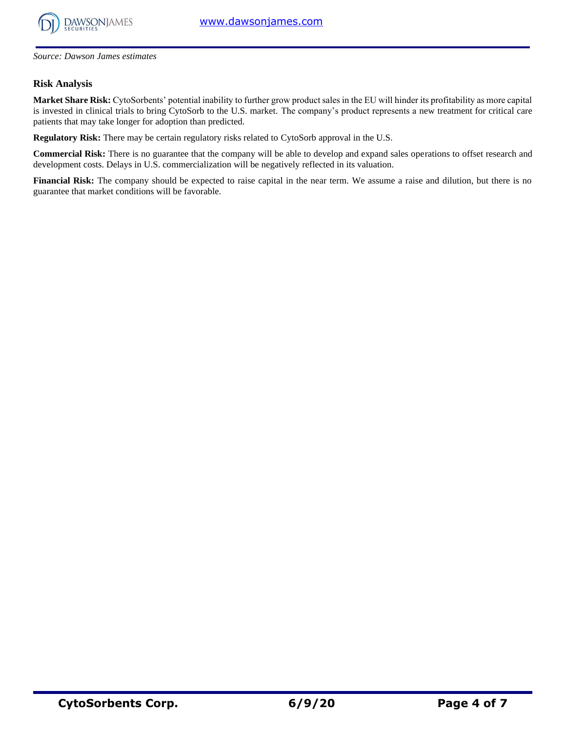

*Source: Dawson James estimates*

#### **Risk Analysis**

**Market Share Risk:** CytoSorbents' potential inability to further grow product sales in the EU will hinder its profitability as more capital is invested in clinical trials to bring CytoSorb to the U.S. market. The company's product represents a new treatment for critical care patients that may take longer for adoption than predicted.

**Regulatory Risk:** There may be certain regulatory risks related to CytoSorb approval in the U.S.

**Commercial Risk:** There is no guarantee that the company will be able to develop and expand sales operations to offset research and development costs. Delays in U.S. commercialization will be negatively reflected in its valuation.

**Financial Risk:** The company should be expected to raise capital in the near term. We assume a raise and dilution, but there is no guarantee that market conditions will be favorable.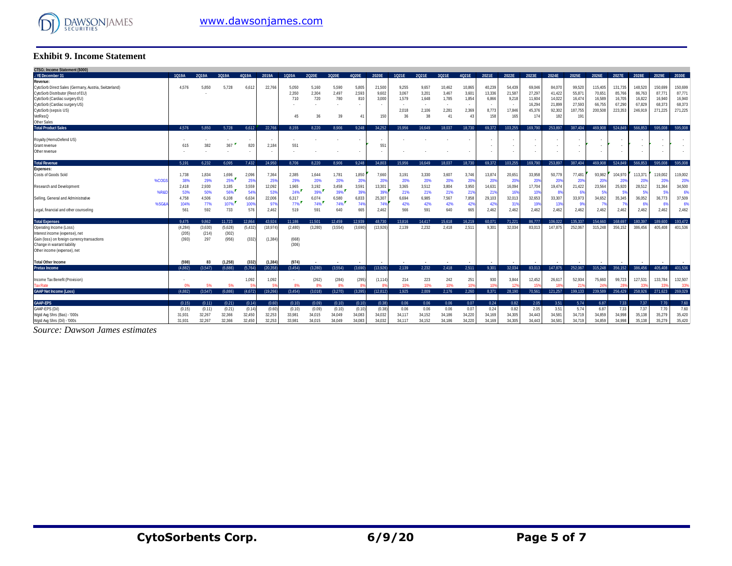

#### **Exhibit 9. Income Statement**

| <b>Exhibit 9. Income Statement</b>                                                                                                                                                               |               |              |               |               |                       |                       |                       |                       |                          |                          |                                  |                                  |                                   |                                       |                                    |                                               |                                                |                                                |                                                 |                                                  |                                                  |                                                  |                                                  |                                                  |
|--------------------------------------------------------------------------------------------------------------------------------------------------------------------------------------------------|---------------|--------------|---------------|---------------|-----------------------|-----------------------|-----------------------|-----------------------|--------------------------|--------------------------|----------------------------------|----------------------------------|-----------------------------------|---------------------------------------|------------------------------------|-----------------------------------------------|------------------------------------------------|------------------------------------------------|-------------------------------------------------|--------------------------------------------------|--------------------------------------------------|--------------------------------------------------|--------------------------------------------------|--------------------------------------------------|
| CTSO.: Income Statement (\$000)                                                                                                                                                                  |               |              |               |               |                       |                       |                       |                       |                          |                          |                                  |                                  |                                   |                                       |                                    |                                               |                                                |                                                |                                                 |                                                  |                                                  |                                                  |                                                  |                                                  |
| .: YE December 31                                                                                                                                                                                | 1019A         | 2019A        | 3019A         | 4019A         | 2019A                 | 1020A                 | 2020E                 | 3020E                 | 4020E                    | 2020E                    | 1021E                            | 2021E                            | 3021E                             | 4021E                                 | 2021E                              | 2022E                                         | 2023E                                          | 2024E                                          | 2025E                                           | 2026E                                            | 2027E                                            | 2028E                                            | 2029E                                            | 2030E                                            |
| Revenue:<br>CytoSorb Direct Sales (Germany, Austria, Switzerland)<br>CytoSorb Distributor (Rest of EU)<br>CytoSorb (Cardiac surgery EU)<br>CytoSorb (Cardiac surgery US)<br>CytoSorb (sepsis US) | 4.576         | 5,850        | 5,728         | 6.612         | 22,766                | 5,050<br>2,350<br>710 | 5.160<br>2,304<br>720 | 5,590<br>2,497<br>780 | 5,805<br>2,593<br>810    | 21,500<br>9,602<br>3,000 | 9.255<br>3,067<br>1,579<br>2.018 | 9,657<br>3,201<br>1,648<br>2,106 | 10,462<br>3,467<br>1,785<br>2,281 | 10,865<br>3,60<br>1,854<br>٠<br>2,369 | 40,239<br>13,336<br>6,866<br>8,773 | 54,439<br>21,587<br>9,218<br>$\sim$<br>17,846 | 69,046<br>27,297<br>11,604<br>16,294<br>45.376 | 84,070<br>41,422<br>14,022<br>21,899<br>92,302 | 99,520<br>55,871<br>16,474<br>27,593<br>187,755 | 115,405<br>70,651<br>16,589<br>66,755<br>200,508 | 131,735<br>85,766<br>16,705<br>67,290<br>223,353 | 148,520<br>86,763<br>16,822<br>67,829<br>246,919 | 150,699<br>87,771<br>16,940<br>68,373<br>271,225 | 150,699<br>87,771<br>16,940<br>68,373<br>271,225 |
| VetResQ                                                                                                                                                                                          |               |              |               |               |                       | 45                    | 36                    | 39                    | $\Delta$ 1               | 150                      | 36                               | 38                               | 41                                | 4 <sup>′</sup>                        | 158                                | 165                                           | 174                                            | 182                                            | 191                                             |                                                  |                                                  |                                                  |                                                  |                                                  |
| Other Sales                                                                                                                                                                                      |               |              |               |               |                       |                       |                       |                       |                          |                          |                                  |                                  |                                   |                                       |                                    |                                               |                                                |                                                |                                                 |                                                  |                                                  |                                                  |                                                  |                                                  |
| <b>Total Product Sales</b>                                                                                                                                                                       | 4.576         | 5.850        | 5.728         | 6.612         | 22.766                | 8.155                 | 8.220                 | 8.906                 | 9.248                    | 34.252                   | 15.956                           | 16.649                           | 18.037                            | 18.730                                | 69.372                             | 103.255                                       | 169.790                                        | 253.897                                        | 387.404                                         | 469,908                                          | 524.849                                          | 566.853                                          | 595.008                                          | 595,008                                          |
| Royalty (HemoDefend US)                                                                                                                                                                          |               |              |               |               |                       |                       |                       |                       | $\overline{\phantom{a}}$ | $\overline{\phantom{a}}$ |                                  |                                  |                                   |                                       |                                    | ٠                                             |                                                |                                                |                                                 |                                                  |                                                  |                                                  |                                                  |                                                  |
| Grant revenue                                                                                                                                                                                    | 615           | 382          | 367           | 820           | 2.184                 | 551                   |                       |                       |                          | 551                      |                                  |                                  |                                   |                                       |                                    | ٠                                             |                                                |                                                |                                                 |                                                  |                                                  |                                                  |                                                  |                                                  |
| Other revenue                                                                                                                                                                                    |               |              |               |               |                       |                       |                       |                       | $\overline{\phantom{a}}$ | $\overline{\phantom{a}}$ |                                  |                                  |                                   | $\overline{\phantom{a}}$              |                                    | $\sim$                                        |                                                |                                                |                                                 | ٠                                                |                                                  |                                                  |                                                  |                                                  |
| <b>Total Revenue</b>                                                                                                                                                                             | 5.191         | 6.232        | 6.095         | 7.432         | 24.950                | 8.706                 | 8.220                 | 8.906                 | 9.248                    | 34.803                   | 15.956                           | 16,649                           | 18.037                            | 18.730                                | 69.372                             | 103.255                                       | 169,790                                        | 253.897                                        | 387.404                                         | 469.908                                          | 524.849                                          | 566,853                                          | 595,008                                          | 595.008                                          |
| <b>Expenses:</b>                                                                                                                                                                                 |               |              |               |               |                       |                       |                       |                       |                          |                          |                                  |                                  |                                   |                                       |                                    |                                               |                                                |                                                |                                                 |                                                  |                                                  |                                                  |                                                  |                                                  |
| Costs of Goods Sold<br>%COG                                                                                                                                                                      | 1.738<br>38%  | 1.834<br>29% | 1,696<br>25%  | 2.096<br>25%  | 7.364<br>$25^{\circ}$ | 2.385<br>29%          | 1.644<br>20%          | 1.781<br>20%          | 1,850<br>20%             | 7.660<br>209             | 3.191<br>20%                     | 3.330<br>20%                     | 3.607<br>20%                      | 3.746<br>20%                          | 13,874<br>20 <sup>o</sup>          | 20,651<br>20%                                 | 33,958<br>20%                                  | 50,779<br>20%                                  | 77,481<br>-20%                                  | 93,982<br>-20%                                   | 104.970<br>-209                                  | 113,371<br><b>20%</b>                            | 119,002<br>20%                                   | 119,002<br>20%                                   |
| Research and Development<br>%R&D                                                                                                                                                                 | 2.418<br>53%  | 2.930<br>50% | 3,185<br>56%  | 3,559<br>54%  | 12.092<br>539         | 1,965<br>24%          | 3,192<br>39%          | 3,458<br>39%          | 3,591<br>399             | 13,301<br>399            | 3,365<br>21%                     | 3.512<br>21%                     | 3,804<br>21%                      | 3,950<br>219                          | 14,631<br>21%                      | 16,094<br>16%                                 | 17,704<br>10%                                  | 19,474<br>-89                                  | 21,422                                          | 23,564<br>-59                                    | 25,920<br>.59                                    | 28,512                                           | 31,364<br>-5%                                    | 34,500<br>6                                      |
| Selling, General and Administrative<br>%SG&A                                                                                                                                                     | 4.758<br>104% | 4,506<br>77% | 6.108<br>107% | 6.634<br>100% | 22,006<br>97%         | 6,317<br>77%          | 6.074<br>74%          | 6,580<br>74%          | 6.833<br>749             | 25.307<br>74%            | 6.694<br>42%                     | 6,985<br>42%                     | 7.567<br>42%                      | 7.858<br>429                          | 29,103<br>429                      | 32.013<br>319                                 | 32.653<br>199                                  | 33,307<br>139                                  | 33,973                                          | 34,652<br>-79                                    | 35.345                                           | 36.052                                           | 36,773<br>6%                                     | 37,509<br>6                                      |
| Legal, financial and other counseling                                                                                                                                                            | 561           | 592          | 733           | 576           | 2.462                 | 519                   | 591                   | 640                   | 665                      | 2.462                    | 566                              | 591                              | 640                               | 665                                   | 2.462                              | 2.462                                         | 2.462                                          | 2.462                                          | 2.462                                           | 2.462                                            | 2.462                                            | 2.462                                            | 2.462                                            | 2,462                                            |
| <b>Total Expenses</b>                                                                                                                                                                            | 9.475         | 9.862        | 11.723        | 12.864        | 43.924                | 11.186                | 11.501                | 12.459                | 12.939                   | 48.730                   | 13.816                           | 14.417                           | 15.618                            | 16,219                                | 60.071                             | 71.221                                        | 86.777                                         | 106.022                                        | 135.337                                         | 154.660                                          | 168.697                                          | 180.397                                          | 189,600                                          | 193,472                                          |
| Operating Income (Loss)                                                                                                                                                                          | (4.284)       | (3,630)      | (5,628)       | (5, 432)      | (18, 974)             | (2,480)               | (3.280)               | (3,554)               | (3.690)                  | (13,926)                 | 2.139                            | 2.232                            | 2.418                             | 2,511                                 | 9.301                              | 32,034                                        | 83,013                                         | 147.875                                        | 252,067                                         | 315.248                                          | 356.152                                          | 386,456                                          | 405.408                                          | 401,536                                          |
| Interest income (expense), net                                                                                                                                                                   | (205)         | (214)        | (302)         |               |                       |                       |                       |                       |                          |                          |                                  |                                  |                                   |                                       |                                    |                                               |                                                |                                                |                                                 |                                                  |                                                  |                                                  |                                                  |                                                  |
| Gain (loss) on foreign currency transactions                                                                                                                                                     | (393)         | 297          | (956)         | (332)         | (1, 384)              | (668)                 |                       |                       |                          |                          |                                  |                                  |                                   |                                       |                                    |                                               |                                                |                                                |                                                 |                                                  |                                                  |                                                  |                                                  |                                                  |
| Change in warrant liability                                                                                                                                                                      |               |              |               |               |                       | (306)                 |                       |                       |                          |                          |                                  |                                  |                                   |                                       |                                    |                                               |                                                |                                                |                                                 |                                                  |                                                  |                                                  |                                                  |                                                  |
| Other income (expense), net                                                                                                                                                                      |               |              |               |               |                       |                       |                       |                       |                          |                          |                                  |                                  |                                   |                                       |                                    |                                               |                                                |                                                |                                                 |                                                  |                                                  |                                                  |                                                  |                                                  |
| <b>Total Other Income</b>                                                                                                                                                                        | (598)         | 83           | (1,258)       | (332)         | (1, 384)              | (974)                 |                       |                       |                          |                          |                                  |                                  |                                   |                                       |                                    |                                               |                                                |                                                |                                                 |                                                  |                                                  |                                                  |                                                  |                                                  |
| <b>Pretax Income</b>                                                                                                                                                                             | (4.882)       | (3,547)      | (6.886)       | (5,764)       | (20.358)              | (3, 454)              | (3.280)               | (3.554)               | (3.690)                  | (13,926)                 | 2.139                            | 2.232                            | 2.418                             | 2,511                                 | 9.301                              | 32,034                                        | 83,013                                         | 147.875                                        | 252,067                                         | 315,248                                          | 356,152                                          | 386.456                                          | 405.408                                          | 401.536                                          |
|                                                                                                                                                                                                  |               |              |               |               |                       |                       |                       |                       |                          |                          |                                  |                                  |                                   |                                       |                                    |                                               |                                                |                                                |                                                 |                                                  |                                                  |                                                  |                                                  |                                                  |
| Income Tax Benefit (Provision)                                                                                                                                                                   |               |              |               | 1,092         | 1,092                 |                       | (262)                 | (284)                 | (295                     | (1, 114)                 | 214                              | 223                              | 242                               | 251                                   | 930                                | 3,844                                         | 12,452                                         | 26,617                                         | 52,934                                          | 75,660                                           | 99,723                                           | 127,531                                          | 133,784                                          | 132,507                                          |
| <b>Tax Rate</b>                                                                                                                                                                                  | 0%            | 5%           | 5%            |               |                       | 8%                    | 8%                    | 8%                    |                          |                          | 10%                              | 10%                              | 10%                               | 10                                    | 10                                 | 12 <sup>6</sup>                               | 15                                             | 18%                                            |                                                 | 24'                                              |                                                  |                                                  | 33%                                              | -33%                                             |
| <b>GAAP Net Income (Loss)</b>                                                                                                                                                                    | (4.882)       | (3.547)      | (6.886)       | (4.672)       | (19.266)              | (3.454)               | (3.018)               | (3.270)               | (3.395)                  | (12.812)                 | 1.925                            | 2.009                            | 2.176                             | 2.260                                 | 8.371                              | 28.190                                        | 70.561                                         | 121.257                                        | 199.133                                         | 239.589                                          | 256,429                                          | 258.926                                          | 271.623                                          | 269,029                                          |
| <b>GAAP-EPS</b>                                                                                                                                                                                  | (0.15)        | (0.11)       | (0.21)        | (0.14)        | (0.60)                | (0.10)                | (0.09)                | (0.10)                | (0.10)                   | (0.38)                   | 0.06                             | 0.06                             | 0.06                              | 0.07                                  | 0.24                               | 0.82                                          | 2.05                                           | 3.51                                           | 5.74                                            | 6.87                                             | 7.33                                             | 7.37                                             | 7.70                                             | 7.60                                             |
| GAAP-EPS (Dil)                                                                                                                                                                                   | (0.15)        | (0.11)       | (0.21)        | (0.14)        | (0.60)                | (0.10)                | (0.09)                | (0.10)                | (0.10)                   | (0.38)                   | 0.06                             | 0.06                             | 0.06                              | 0.07                                  | 0.24                               | 0.82                                          | 2.05                                           | 3.51                                           | 5.74                                            | 6.87                                             | 7.33                                             | 7.37                                             | 7.70                                             | 7.60                                             |
| Wgtd Avg Shrs (Bas) - '000s                                                                                                                                                                      | 31.931        | 32,267       | 32,366        | 32,450        | 32,253                | 33,981                | 34.015                | 34.049                | 34.083                   | 34.032                   | 34.117                           | 34.152                           | 34.186                            | 34,220                                | 34.169                             | 34,305                                        | 34,443                                         | 34,581                                         | 34.719                                          | 34,859                                           | 34.998                                           | 35,138                                           | 35,279                                           | 35,420                                           |
| Wgtd Avg Shrs (Dil) - '000s                                                                                                                                                                      | 31,931        | 32.267       | 32,366        | 32,450        | 32.253                | 33,981                | 34.015                | 34.049                | 34.083                   | 34.032                   | 34.117                           | 34.152                           | 34,186                            | 34.220                                | 34,169                             | 34,305                                        | 34,443                                         | 34.581                                         | 34.719                                          | 34,859                                           | 34,998                                           | 35.138                                           | 35.279                                           | 35,420                                           |

*Source: Dawson James estimates*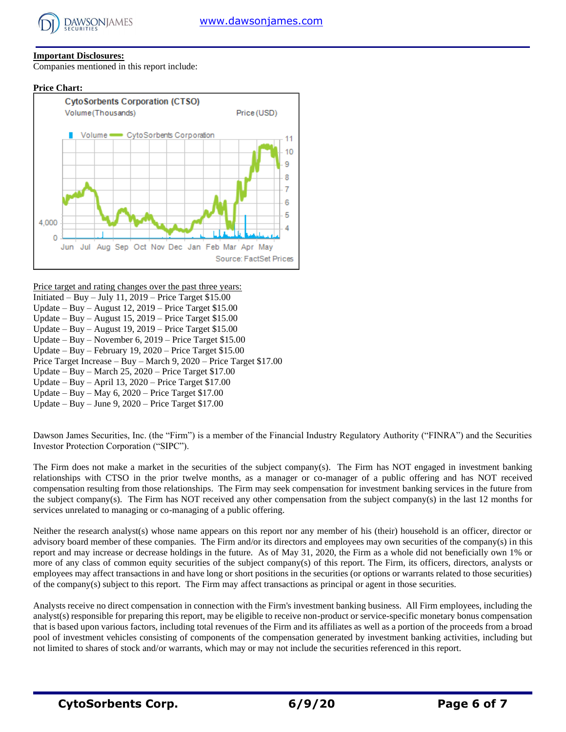

#### **Important Disclosures:**

Companies mentioned in this report include:





Price target and rating changes over the past three years:

- Initiated Buy July 11,  $2019$  Price Target \$15.00
- Update Buy August 12, 2019 Price Target \$15.00
- Update Buy August 15, 2019 Price Target \$15.00
- Update Buy August 19, 2019 Price Target \$15.00 Update – Buy – November 6, 2019 – Price Target \$15.00
- Update Buy February 19, 2020 Price Target \$15.00
- Price Target Increase Buy March 9, 2020 Price Target \$17.00
- Update Buy March 25, 2020 Price Target \$17.00
- Update Buy April 13, 2020 Price Target \$17.00
- Update Buy May  $6, 2020$  Price Target \$17.00
- Update Buy June 9, 2020 Price Target \$17.00

Dawson James Securities, Inc. (the "Firm") is a member of the Financial Industry Regulatory Authority ("FINRA") and the Securities Investor Protection Corporation ("SIPC").

The Firm does not make a market in the securities of the subject company(s). The Firm has NOT engaged in investment banking relationships with CTSO in the prior twelve months, as a manager or co-manager of a public offering and has NOT received compensation resulting from those relationships. The Firm may seek compensation for investment banking services in the future from the subject company(s). The Firm has NOT received any other compensation from the subject company(s) in the last 12 months for services unrelated to managing or co-managing of a public offering.

Neither the research analyst(s) whose name appears on this report nor any member of his (their) household is an officer, director or advisory board member of these companies. The Firm and/or its directors and employees may own securities of the company(s) in this report and may increase or decrease holdings in the future. As of May 31, 2020, the Firm as a whole did not beneficially own 1% or more of any class of common equity securities of the subject company(s) of this report. The Firm, its officers, directors, analysts or employees may affect transactions in and have long or short positions in the securities (or options or warrants related to those securities) of the company(s) subject to this report. The Firm may affect transactions as principal or agent in those securities.

Analysts receive no direct compensation in connection with the Firm's investment banking business. All Firm employees, including the analyst(s) responsible for preparing this report, may be eligible to receive non-product or service-specific monetary bonus compensation that is based upon various factors, including total revenues of the Firm and its affiliates as well as a portion of the proceeds from a broad pool of investment vehicles consisting of components of the compensation generated by investment banking activities, including but not limited to shares of stock and/or warrants, which may or may not include the securities referenced in this report.